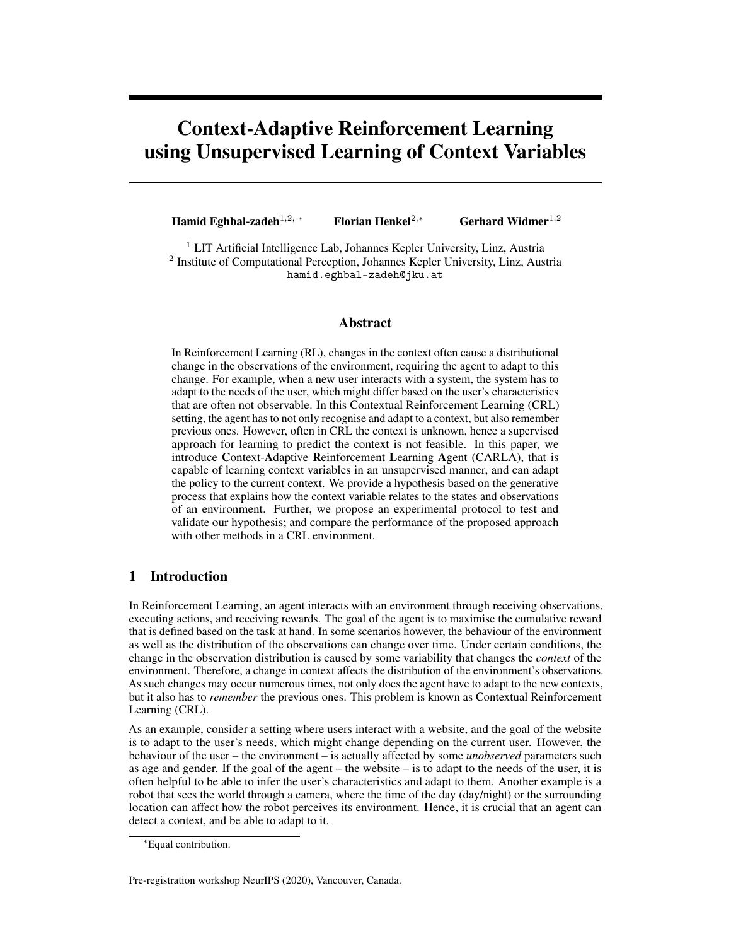# Context-Adaptive Reinforcement Learning using Unsupervised Learning of Context Variables

Hamid Eghbal-zadeh<sup>1,2,</sup> ∗ Florian Henkel<sup>2,∗</sup> Gerhard Widmer<sup>1,2</sup>

 $1$  LIT Artificial Intelligence Lab, Johannes Kepler University, Linz, Austria <sup>2</sup> Institute of Computational Perception, Johannes Kepler University, Linz, Austria hamid.eghbal-zadeh@jku.at

## Abstract

In Reinforcement Learning (RL), changes in the context often cause a distributional change in the observations of the environment, requiring the agent to adapt to this change. For example, when a new user interacts with a system, the system has to adapt to the needs of the user, which might differ based on the user's characteristics that are often not observable. In this Contextual Reinforcement Learning (CRL) setting, the agent has to not only recognise and adapt to a context, but also remember previous ones. However, often in CRL the context is unknown, hence a supervised approach for learning to predict the context is not feasible. In this paper, we introduce Context-Adaptive Reinforcement Learning Agent (CARLA), that is capable of learning context variables in an unsupervised manner, and can adapt the policy to the current context. We provide a hypothesis based on the generative process that explains how the context variable relates to the states and observations of an environment. Further, we propose an experimental protocol to test and validate our hypothesis; and compare the performance of the proposed approach with other methods in a CRL environment.

# 1 Introduction

In Reinforcement Learning, an agent interacts with an environment through receiving observations, executing actions, and receiving rewards. The goal of the agent is to maximise the cumulative reward that is defined based on the task at hand. In some scenarios however, the behaviour of the environment as well as the distribution of the observations can change over time. Under certain conditions, the change in the observation distribution is caused by some variability that changes the *context* of the environment. Therefore, a change in context affects the distribution of the environment's observations. As such changes may occur numerous times, not only does the agent have to adapt to the new contexts, but it also has to *remember* the previous ones. This problem is known as Contextual Reinforcement Learning (CRL).

As an example, consider a setting where users interact with a website, and the goal of the website is to adapt to the user's needs, which might change depending on the current user. However, the behaviour of the user – the environment – is actually affected by some *unobserved* parameters such as age and gender. If the goal of the agent – the website – is to adapt to the needs of the user, it is often helpful to be able to infer the user's characteristics and adapt to them. Another example is a robot that sees the world through a camera, where the time of the day (day/night) or the surrounding location can affect how the robot perceives its environment. Hence, it is crucial that an agent can detect a context, and be able to adapt to it.

Pre-registration workshop NeurIPS (2020), Vancouver, Canada.

<sup>∗</sup>Equal contribution.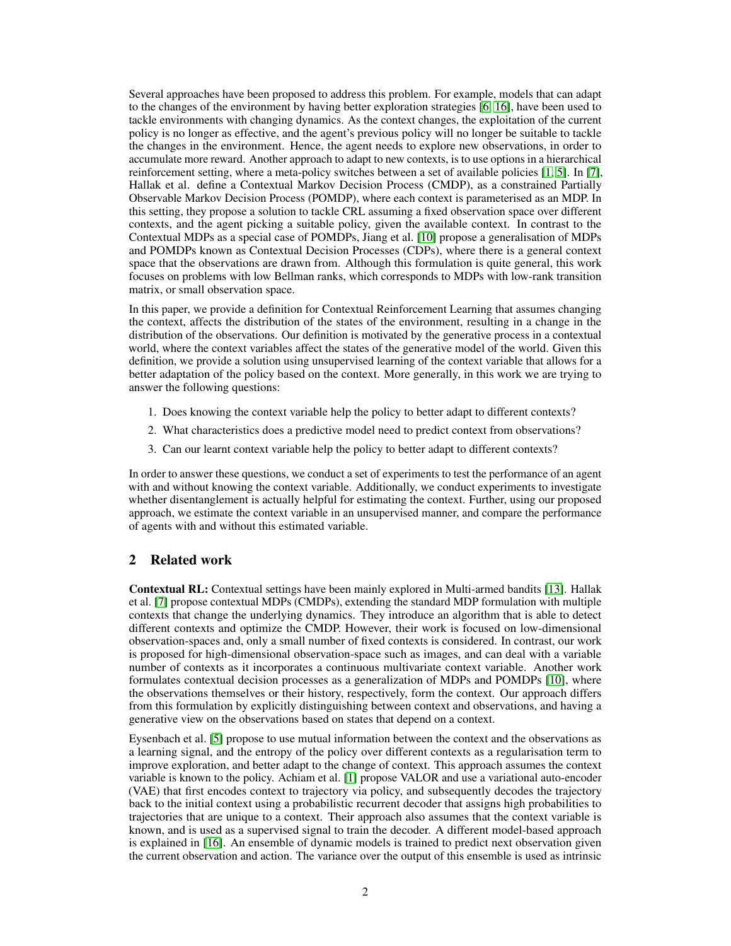Several approaches have been proposed to address this problem. For example, models that can adapt to the changes of the environment by having better exploration strategies [\[6,](#page-5-0) [16\]](#page-5-1), have been used to tackle environments with changing dynamics. As the context changes, the exploitation of the current policy is no longer as effective, and the agent's previous policy will no longer be suitable to tackle the changes in the environment. Hence, the agent needs to explore new observations, in order to accumulate more reward. Another approach to adapt to new contexts, is to use options in a hierarchical reinforcement setting, where a meta-policy switches between a set of available policies [\[1,](#page-5-2) [5\]](#page-5-3). In [\[7\]](#page-5-4), Hallak et al. define a Contextual Markov Decision Process (CMDP), as a constrained Partially Observable Markov Decision Process (POMDP), where each context is parameterised as an MDP. In this setting, they propose a solution to tackle CRL assuming a fixed observation space over different contexts, and the agent picking a suitable policy, given the available context. In contrast to the Contextual MDPs as a special case of POMDPs, Jiang et al. [\[10\]](#page-5-5) propose a generalisation of MDPs and POMDPs known as Contextual Decision Processes (CDPs), where there is a general context space that the observations are drawn from. Although this formulation is quite general, this work focuses on problems with low Bellman ranks, which corresponds to MDPs with low-rank transition matrix, or small observation space.

In this paper, we provide a definition for Contextual Reinforcement Learning that assumes changing the context, affects the distribution of the states of the environment, resulting in a change in the distribution of the observations. Our definition is motivated by the generative process in a contextual world, where the context variables affect the states of the generative model of the world. Given this definition, we provide a solution using unsupervised learning of the context variable that allows for a better adaptation of the policy based on the context. More generally, in this work we are trying to answer the following questions:

- 1. Does knowing the context variable help the policy to better adapt to different contexts?
- 2. What characteristics does a predictive model need to predict context from observations?
- 3. Can our learnt context variable help the policy to better adapt to different contexts?

In order to answer these questions, we conduct a set of experiments to test the performance of an agent with and without knowing the context variable. Additionally, we conduct experiments to investigate whether disentanglement is actually helpful for estimating the context. Further, using our proposed approach, we estimate the context variable in an unsupervised manner, and compare the performance of agents with and without this estimated variable.

# 2 Related work

Contextual RL: Contextual settings have been mainly explored in Multi-armed bandits [\[13\]](#page-5-6). Hallak et al. [\[7\]](#page-5-4) propose contextual MDPs (CMDPs), extending the standard MDP formulation with multiple contexts that change the underlying dynamics. They introduce an algorithm that is able to detect different contexts and optimize the CMDP. However, their work is focused on low-dimensional observation-spaces and, only a small number of fixed contexts is considered. In contrast, our work is proposed for high-dimensional observation-space such as images, and can deal with a variable number of contexts as it incorporates a continuous multivariate context variable. Another work formulates contextual decision processes as a generalization of MDPs and POMDPs [\[10\]](#page-5-5), where the observations themselves or their history, respectively, form the context. Our approach differs from this formulation by explicitly distinguishing between context and observations, and having a generative view on the observations based on states that depend on a context.

Eysenbach et al. [\[5\]](#page-5-3) propose to use mutual information between the context and the observations as a learning signal, and the entropy of the policy over different contexts as a regularisation term to improve exploration, and better adapt to the change of context. This approach assumes the context variable is known to the policy. Achiam et al. [\[1\]](#page-5-2) propose VALOR and use a variational auto-encoder (VAE) that first encodes context to trajectory via policy, and subsequently decodes the trajectory back to the initial context using a probabilistic recurrent decoder that assigns high probabilities to trajectories that are unique to a context. Their approach also assumes that the context variable is known, and is used as a supervised signal to train the decoder. A different model-based approach is explained in [\[16\]](#page-5-1). An ensemble of dynamic models is trained to predict next observation given the current observation and action. The variance over the output of this ensemble is used as intrinsic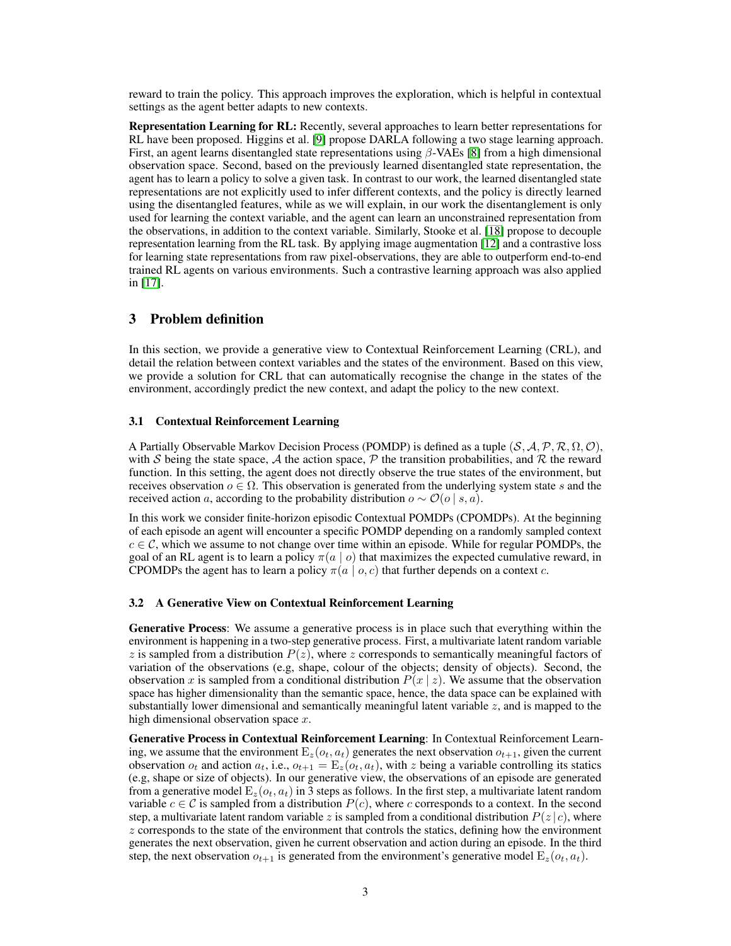reward to train the policy. This approach improves the exploration, which is helpful in contextual settings as the agent better adapts to new contexts.

Representation Learning for RL: Recently, several approaches to learn better representations for RL have been proposed. Higgins et al. [\[9\]](#page-5-7) propose DARLA following a two stage learning approach. First, an agent learns disentangled state representations using  $\beta$ -VAEs [\[8\]](#page-5-8) from a high dimensional observation space. Second, based on the previously learned disentangled state representation, the agent has to learn a policy to solve a given task. In contrast to our work, the learned disentangled state representations are not explicitly used to infer different contexts, and the policy is directly learned using the disentangled features, while as we will explain, in our work the disentanglement is only used for learning the context variable, and the agent can learn an unconstrained representation from the observations, in addition to the context variable. Similarly, Stooke et al. [\[18\]](#page-5-9) propose to decouple representation learning from the RL task. By applying image augmentation [\[12\]](#page-5-10) and a contrastive loss for learning state representations from raw pixel-observations, they are able to outperform end-to-end trained RL agents on various environments. Such a contrastive learning approach was also applied in [\[17\]](#page-5-11).

# 3 Problem definition

In this section, we provide a generative view to Contextual Reinforcement Learning (CRL), and detail the relation between context variables and the states of the environment. Based on this view, we provide a solution for CRL that can automatically recognise the change in the states of the environment, accordingly predict the new context, and adapt the policy to the new context.

### 3.1 Contextual Reinforcement Learning

A Partially Observable Markov Decision Process (POMDP) is defined as a tuple  $(S, A, P, R, \Omega, \mathcal{O})$ , with S being the state space, A the action space, P the transition probabilities, and R the reward function. In this setting, the agent does not directly observe the true states of the environment, but receives observation  $o \in \Omega$ . This observation is generated from the underlying system state s and the received action a, according to the probability distribution  $o \sim \mathcal{O}(o \mid s, a)$ .

In this work we consider finite-horizon episodic Contextual POMDPs (CPOMDPs). At the beginning of each episode an agent will encounter a specific POMDP depending on a randomly sampled context  $c \in \mathcal{C}$ , which we assume to not change over time within an episode. While for regular POMDPs, the goal of an RL agent is to learn a policy  $\pi(a \mid o)$  that maximizes the expected cumulative reward, in CPOMDPs the agent has to learn a policy  $\pi(a \mid o, c)$  that further depends on a context c.

### <span id="page-2-0"></span>3.2 A Generative View on Contextual Reinforcement Learning

Generative Process: We assume a generative process is in place such that everything within the environment is happening in a two-step generative process. First, a multivariate latent random variable  $z$  is sampled from a distribution  $P(z)$ , where  $z$  corresponds to semantically meaningful factors of variation of the observations (e.g, shape, colour of the objects; density of objects). Second, the observation x is sampled from a conditional distribution  $P(x | z)$ . We assume that the observation space has higher dimensionality than the semantic space, hence, the data space can be explained with substantially lower dimensional and semantically meaningful latent variable  $z$ , and is mapped to the high dimensional observation space  $x$ .

Generative Process in Contextual Reinforcement Learning: In Contextual Reinforcement Learning, we assume that the environment  $E_z(o_t, a_t)$  generates the next observation  $o_{t+1}$ , given the current observation  $o_t$  and action  $a_t$ , i.e.,  $o_{t+1} = \mathbb{E}_z(o_t, a_t)$ , with z being a variable controlling its statics (e.g, shape or size of objects). In our generative view, the observations of an episode are generated from a generative model  $E_z(\mathfrak{o}_t, \mathfrak{a}_t)$  in 3 steps as follows. In the first step, a multivariate latent random variable  $c \in \mathcal{C}$  is sampled from a distribution  $P(c)$ , where c corresponds to a context. In the second step, a multivariate latent random variable z is sampled from a conditional distribution  $P(z | c)$ , where  $z$  corresponds to the state of the environment that controls the statics, defining how the environment generates the next observation, given he current observation and action during an episode. In the third step, the next observation  $o_{t+1}$  is generated from the environment's generative model  $E_z(o_t, a_t)$ .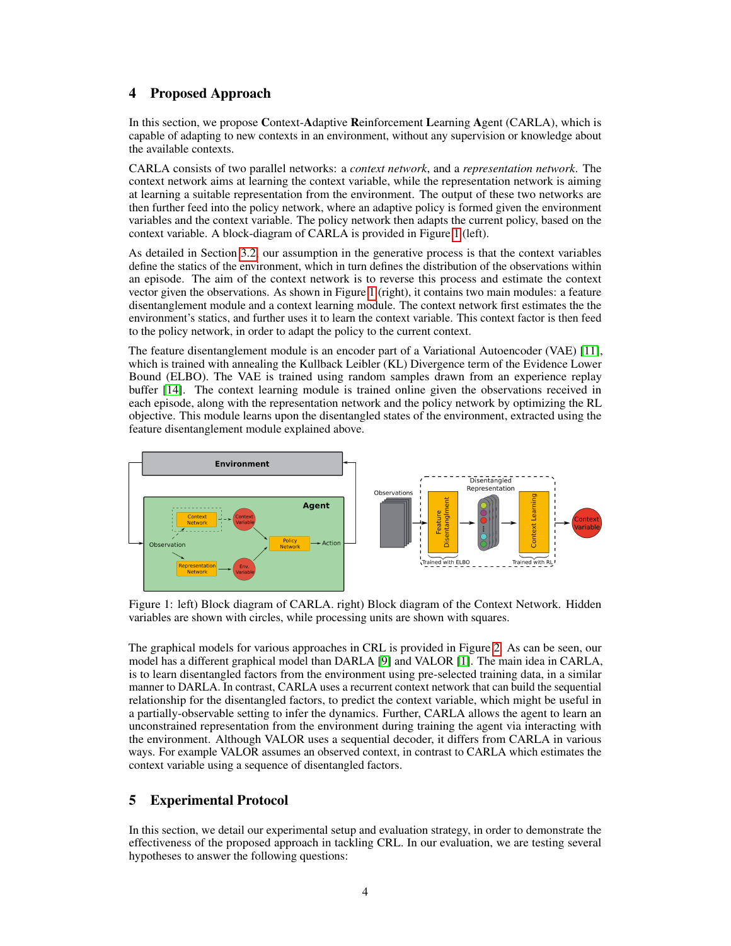# 4 Proposed Approach

In this section, we propose Context-Adaptive Reinforcement Learning Agent (CARLA), which is capable of adapting to new contexts in an environment, without any supervision or knowledge about the available contexts.

CARLA consists of two parallel networks: a *context network*, and a *representation network*. The context network aims at learning the context variable, while the representation network is aiming at learning a suitable representation from the environment. The output of these two networks are then further feed into the policy network, where an adaptive policy is formed given the environment variables and the context variable. The policy network then adapts the current policy, based on the context variable. A block-diagram of CARLA is provided in Figure [1](#page-3-0) (left).

As detailed in Section [3.2,](#page-2-0) our assumption in the generative process is that the context variables define the statics of the environment, which in turn defines the distribution of the observations within an episode. The aim of the context network is to reverse this process and estimate the context vector given the observations. As shown in Figure [1](#page-3-0) (right), it contains two main modules: a feature disentanglement module and a context learning module. The context network first estimates the the environment's statics, and further uses it to learn the context variable. This context factor is then feed to the policy network, in order to adapt the policy to the current context.

The feature disentanglement module is an encoder part of a Variational Autoencoder (VAE) [\[11\]](#page-5-12), which is trained with annealing the Kullback Leibler (KL) Divergence term of the Evidence Lower Bound (ELBO). The VAE is trained using random samples drawn from an experience replay buffer [\[14\]](#page-5-13). The context learning module is trained online given the observations received in each episode, along with the representation network and the policy network by optimizing the RL objective. This module learns upon the disentangled states of the environment, extracted using the feature disentanglement module explained above.

<span id="page-3-0"></span>

Figure 1: left) Block diagram of CARLA. right) Block diagram of the Context Network. Hidden variables are shown with circles, while processing units are shown with squares.

The graphical models for various approaches in CRL is provided in Figure [2.](#page-4-0) As can be seen, our model has a different graphical model than DARLA [\[9\]](#page-5-7) and VALOR [\[1\]](#page-5-2). The main idea in CARLA, is to learn disentangled factors from the environment using pre-selected training data, in a similar manner to DARLA. In contrast, CARLA uses a recurrent context network that can build the sequential relationship for the disentangled factors, to predict the context variable, which might be useful in a partially-observable setting to infer the dynamics. Further, CARLA allows the agent to learn an unconstrained representation from the environment during training the agent via interacting with the environment. Although VALOR uses a sequential decoder, it differs from CARLA in various ways. For example VALOR assumes an observed context, in contrast to CARLA which estimates the context variable using a sequence of disentangled factors.

# 5 Experimental Protocol

In this section, we detail our experimental setup and evaluation strategy, in order to demonstrate the effectiveness of the proposed approach in tackling CRL. In our evaluation, we are testing several hypotheses to answer the following questions: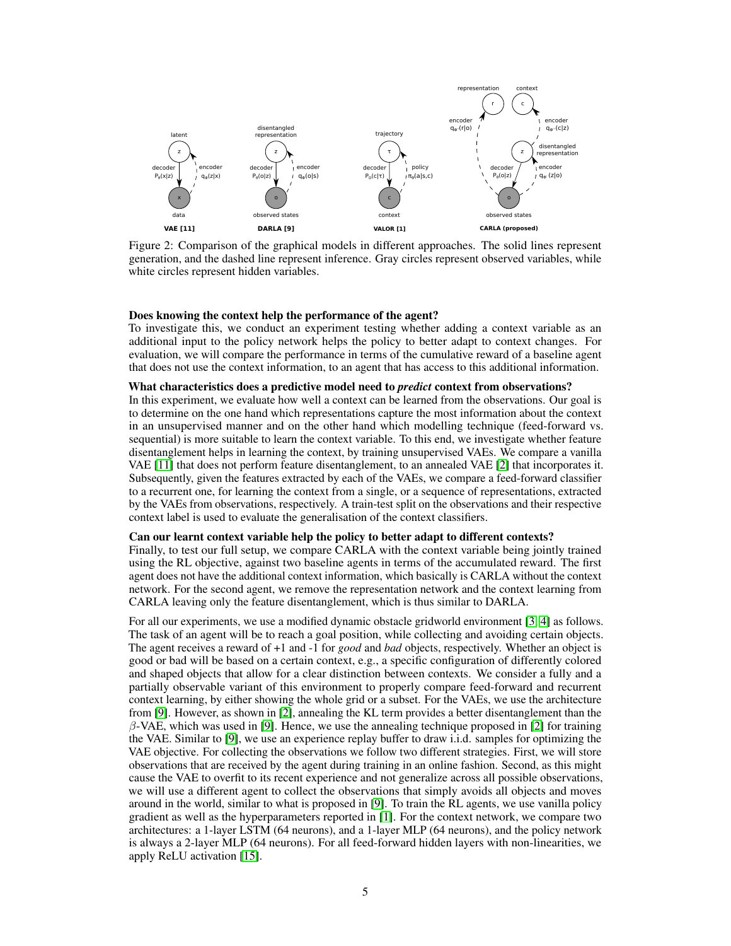<span id="page-4-0"></span>

Figure 2: Comparison of the graphical models in different approaches. The solid lines represent generation, and the dashed line represent inference. Gray circles represent observed variables, while white circles represent hidden variables.

### Does knowing the context help the performance of the agent?

To investigate this, we conduct an experiment testing whether adding a context variable as an additional input to the policy network helps the policy to better adapt to context changes. For evaluation, we will compare the performance in terms of the cumulative reward of a baseline agent that does not use the context information, to an agent that has access to this additional information.

#### What characteristics does a predictive model need to *predict* context from observations?

In this experiment, we evaluate how well a context can be learned from the observations. Our goal is to determine on the one hand which representations capture the most information about the context in an unsupervised manner and on the other hand which modelling technique (feed-forward vs. sequential) is more suitable to learn the context variable. To this end, we investigate whether feature disentanglement helps in learning the context, by training unsupervised VAEs. We compare a vanilla VAE [\[11\]](#page-5-12) that does not perform feature disentanglement, to an annealed VAE [\[2\]](#page-5-14) that incorporates it. Subsequently, given the features extracted by each of the VAEs, we compare a feed-forward classifier to a recurrent one, for learning the context from a single, or a sequence of representations, extracted by the VAEs from observations, respectively. A train-test split on the observations and their respective context label is used to evaluate the generalisation of the context classifiers.

## Can our learnt context variable help the policy to better adapt to different contexts?

Finally, to test our full setup, we compare CARLA with the context variable being jointly trained using the RL objective, against two baseline agents in terms of the accumulated reward. The first agent does not have the additional context information, which basically is CARLA without the context network. For the second agent, we remove the representation network and the context learning from CARLA leaving only the feature disentanglement, which is thus similar to DARLA.

For all our experiments, we use a modified dynamic obstacle gridworld environment [\[3,](#page-5-15) [4\]](#page-5-16) as follows. The task of an agent will be to reach a goal position, while collecting and avoiding certain objects. The agent receives a reward of +1 and -1 for *good* and *bad* objects, respectively. Whether an object is good or bad will be based on a certain context, e.g., a specific configuration of differently colored and shaped objects that allow for a clear distinction between contexts. We consider a fully and a partially observable variant of this environment to properly compare feed-forward and recurrent context learning, by either showing the whole grid or a subset. For the VAEs, we use the architecture from [\[9\]](#page-5-7). However, as shown in [\[2\]](#page-5-14), annealing the KL term provides a better disentanglement than the  $\beta$ -VAE, which was used in [\[9\]](#page-5-7). Hence, we use the annealing technique proposed in [\[2\]](#page-5-14) for training the VAE. Similar to [\[9\]](#page-5-7), we use an experience replay buffer to draw i.i.d. samples for optimizing the VAE objective. For collecting the observations we follow two different strategies. First, we will store observations that are received by the agent during training in an online fashion. Second, as this might cause the VAE to overfit to its recent experience and not generalize across all possible observations, we will use a different agent to collect the observations that simply avoids all objects and moves around in the world, similar to what is proposed in [\[9\]](#page-5-7). To train the RL agents, we use vanilla policy gradient as well as the hyperparameters reported in [\[1\]](#page-5-2). For the context network, we compare two architectures: a 1-layer LSTM (64 neurons), and a 1-layer MLP (64 neurons), and the policy network is always a 2-layer MLP (64 neurons). For all feed-forward hidden layers with non-linearities, we apply ReLU activation [\[15\]](#page-5-17).